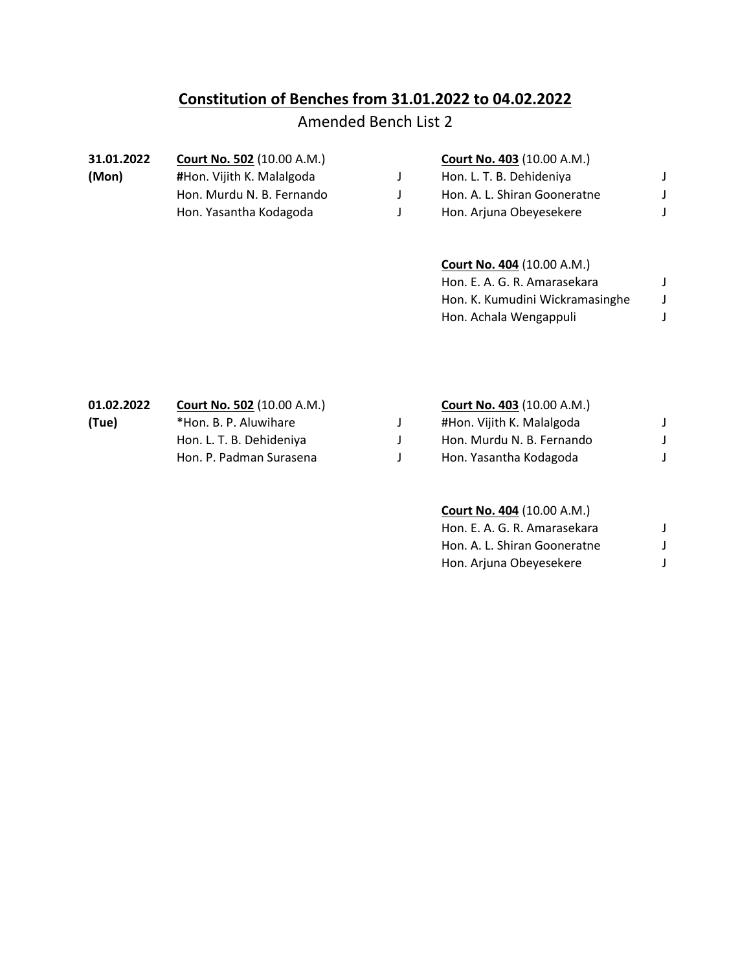## **Constitution of Benches from 31.01.2022 to 04.02.2022**

## Amended Bench List 2

| 31.01.2022 | <b>Court No. 502 (10.00 A.M.)</b> | <b>Court No. 403 (10.00 A.M.)</b> |  |
|------------|-----------------------------------|-----------------------------------|--|
| (Mon)      | #Hon. Vijith K. Malalgoda         | Hon. L. T. B. Dehideniya          |  |
|            | Hon. Murdu N. B. Fernando         | Hon. A. L. Shiran Gooneratne      |  |
|            | Hon. Yasantha Kodagoda            | Hon. Arjuna Obeyesekere           |  |
|            |                                   |                                   |  |

## **Court No. 404** (10.00 A.M.)

| Hon. E. A. G. R. Amarasekara    |  |
|---------------------------------|--|
| Hon. K. Kumudini Wickramasinghe |  |
| Hon. Achala Wengappuli          |  |

| 01.02.2022 | <b>Court No. 502 (10.00 A.M.)</b> | <b>Court No. 403 (10.00 A.M.)</b> |  |
|------------|-----------------------------------|-----------------------------------|--|
| (Tue)      | *Hon. B. P. Aluwihare             | #Hon. Vijith K. Malalgoda         |  |
|            | Hon. L. T. B. Dehideniya          | Hon. Murdu N. B. Fernando         |  |
|            | Hon. P. Padman Surasena           | Hon. Yasantha Kodagoda            |  |
|            |                                   |                                   |  |

## **Court No. 404** (10.00 A.M.)

| Hon. E. A. G. R. Amarasekara |  |
|------------------------------|--|
| Hon. A. L. Shiran Gooneratne |  |
| Hon. Arjuna Obeyesekere      |  |